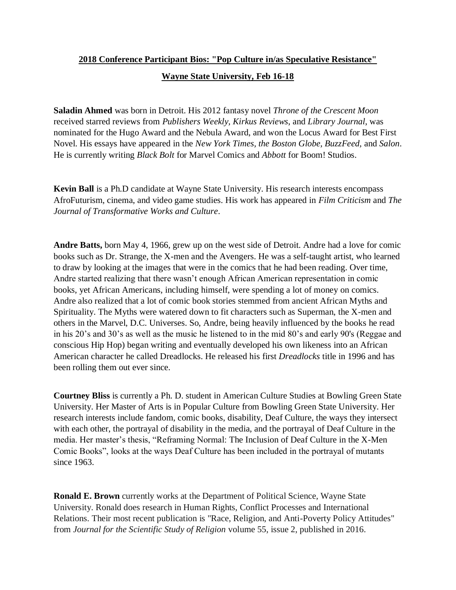## **2018 Conference Participant Bios: "Pop Culture in/as Speculative Resistance" Wayne State University, Feb 16-18**

**Saladin Ahmed** was born in Detroit. His 2012 fantasy novel *Throne of the Crescent Moon* received starred reviews from *Publishers Weekly, Kirkus Reviews*, and *Library Journal*, was nominated for the Hugo Award and the Nebula Award, and won the Locus Award for Best First Novel. His essays have appeared in the *New York Times, the Boston Globe, BuzzFeed,* and *Salon*. He is currently writing *Black Bolt* for Marvel Comics and *Abbott* for Boom! Studios.

**Kevin Ball** is a Ph.D candidate at Wayne State University. His research interests encompass AfroFuturism, cinema, and video game studies. His work has appeared in *Film Criticism* and *The Journal of Transformative Works and Culture*.

**Andre Batts,** born May 4, 1966, grew up on the west side of Detroit. Andre had a love for comic books such as Dr. Strange, the X-men and the Avengers. He was a self-taught artist, who learned to draw by looking at the images that were in the comics that he had been reading. Over time, Andre started realizing that there wasn't enough African American representation in comic books, yet African Americans, including himself, were spending a lot of money on comics. Andre also realized that a lot of comic book stories stemmed from ancient African Myths and Spirituality. The Myths were watered down to fit characters such as Superman, the X-men and others in the Marvel, D.C. Universes. So, Andre, being heavily influenced by the books he read in his 20's and 30's as well as the music he listened to in the mid 80's and early 90's (Reggae and conscious Hip Hop) began writing and eventually developed his own likeness into an African American character he called Dreadlocks. He released his first *Dreadlocks* title in 1996 and has been rolling them out ever since.

**Courtney Bliss** is currently a Ph. D. student in American Culture Studies at Bowling Green State University. Her Master of Arts is in Popular Culture from Bowling Green State University. Her research interests include fandom, comic books, disability, Deaf Culture, the ways they intersect with each other, the portrayal of disability in the media, and the portrayal of Deaf Culture in the media. Her master's thesis, "Reframing Normal: The Inclusion of Deaf Culture in the X-Men Comic Books", looks at the ways Deaf Culture has been included in the portrayal of mutants since 1963.

**Ronald E. Brown** currently works at the Department of Political Science, Wayne State University. Ronald does research in Human Rights, Conflict Processes and International Relations. Their most recent publication is "Race, Religion, and Anti-Poverty Policy Attitudes" from *Journal for the Scientific Study of Religion* volume 55, issue 2, published in 2016.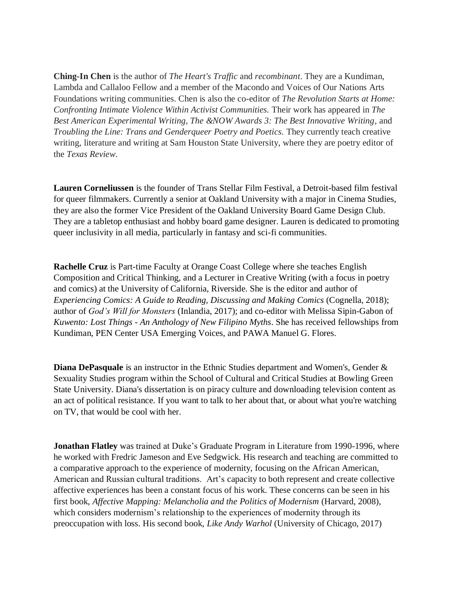**Ching-In Chen** is the author of *The Heart's Traffic* and *recombinant*. They are a Kundiman, Lambda and Callaloo Fellow and a member of the Macondo and Voices of Our Nations Arts Foundations writing communities. Chen is also the co-editor of *The Revolution Starts at Home: Confronting Intimate Violence Within Activist Communities.* Their work has appeared in *The Best American Experimental Writing, The &NOW Awards 3: The Best Innovative Writing*, and *Troubling the Line: Trans and Genderqueer Poetry and Poetics.* They currently teach creative writing, literature and writing at Sam Houston State University, where they are poetry editor of the *Texas Review*.

**Lauren Corneliussen** is the founder of Trans Stellar Film Festival, a Detroit-based film festival for queer filmmakers. Currently a senior at Oakland University with a major in Cinema Studies, they are also the former Vice President of the Oakland University Board Game Design Club. They are a tabletop enthusiast and hobby board game designer. Lauren is dedicated to promoting queer inclusivity in all media, particularly in fantasy and sci-fi communities.

**Rachelle Cruz** is Part-time Faculty at Orange Coast College where she teaches English Composition and Critical Thinking, and a Lecturer in Creative Writing (with a focus in poetry and comics) at the University of California, Riverside. She is the editor and author of *Experiencing Comics: A Guide to Reading, Discussing and Making Comics* (Cognella, 2018); author of *God's Will for Monsters* (Inlandia, 2017); and co-editor with Melissa Sipin-Gabon of *Kuwento: Lost Things - An Anthology of New Filipino Myths*. She has received fellowships from Kundiman, PEN Center USA Emerging Voices, and PAWA Manuel G. Flores.

**Diana DePasquale** is an instructor in the Ethnic Studies department and Women's, Gender & Sexuality Studies program within the School of Cultural and Critical Studies at Bowling Green State University. Diana's dissertation is on piracy culture and downloading television content as an act of political resistance. If you want to talk to her about that, or about what you're watching on TV, that would be cool with her.

**Jonathan Flatley** was trained at Duke's Graduate Program in Literature from 1990-1996, where he worked with Fredric Jameson and Eve Sedgwick. His research and teaching are committed to a comparative approach to the experience of modernity, focusing on the African American, American and Russian cultural traditions. Art's capacity to both represent and create collective affective experiences has been a constant focus of his work. These concerns can be seen in his first book, *Affective Mapping: Melancholia and the Politics of Modernism* (Harvard, 2008), which considers modernism's relationship to the experiences of modernity through its preoccupation with loss. His second book, *Like Andy Warhol* (University of Chicago, 2017)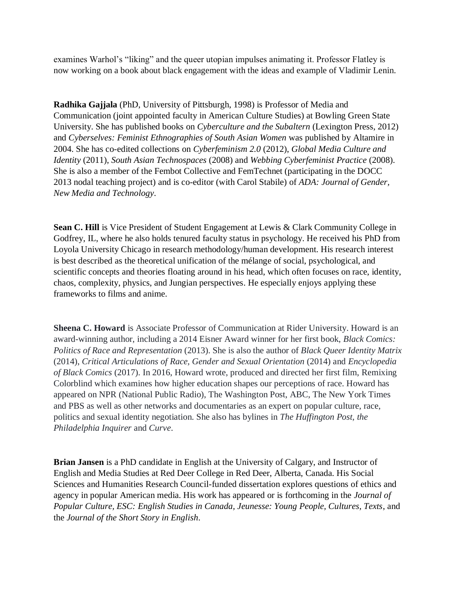examines Warhol's "liking" and the queer utopian impulses animating it. Professor Flatley is now working on a book about black engagement with the ideas and example of Vladimir Lenin.

**Radhika Gajjala** (PhD, University of Pittsburgh, 1998) is Professor of Media and Communication (joint appointed faculty in American Culture Studies) at Bowling Green State University. She has published books on *Cyberculture and the Subaltern* (Lexington Press, 2012) and *Cyberselves: Feminist Ethnographies of South Asian Women* was published by Altamire in 2004. She has co-edited collections on *Cyberfeminism 2.0* (2012), *Global Media Culture and Identity* (2011), *South Asian Technospaces* (2008) and *Webbing Cyberfeminist Practice* (2008). She is also a member of the Fembot Collective and FemTechnet (participating in the DOCC 2013 nodal teaching project) and is co-editor (with Carol Stabile) of *ADA: Journal of Gender, New Media and Technology*.

**Sean C. Hill** is Vice President of Student Engagement at Lewis & Clark Community College in Godfrey, IL, where he also holds tenured faculty status in psychology. He received his PhD from Loyola University Chicago in research methodology/human development. His research interest is best described as the theoretical unification of the mélange of social, psychological, and scientific concepts and theories floating around in his head, which often focuses on race, identity, chaos, complexity, physics, and Jungian perspectives. He especially enjoys applying these frameworks to films and anime.

**Sheena C. Howard** is Associate Professor of Communication at Rider University. Howard is an award-winning author, including a 2014 Eisner Award winner for her first book, *Black Comics: Politics of Race and Representation* (2013). She is also the author of *Black Queer Identity Matrix* (2014), *Critical Articulations of Race, Gender and Sexual Orientation* (2014) and *Encyclopedia of Black Comics* (2017). In 2016, Howard wrote, produced and directed her first film, Remixing Colorblind which examines how higher education shapes our perceptions of race. Howard has appeared on NPR (National Public Radio), The Washington Post, ABC, The New York Times and PBS as well as other networks and documentaries as an expert on popular culture, race, politics and sexual identity negotiation. She also has bylines in *The Huffington Post, the Philadelphia Inquirer* and *Curve*.

**Brian Jansen** is a PhD candidate in English at the University of Calgary, and Instructor of English and Media Studies at Red Deer College in Red Deer, Alberta, Canada. His Social Sciences and Humanities Research Council-funded dissertation explores questions of ethics and agency in popular American media. His work has appeared or is forthcoming in the *Journal of Popular Culture, ESC: English Studies in Canada, Jeunesse: Young People, Cultures, Texts*, and the *Journal of the Short Story in English*.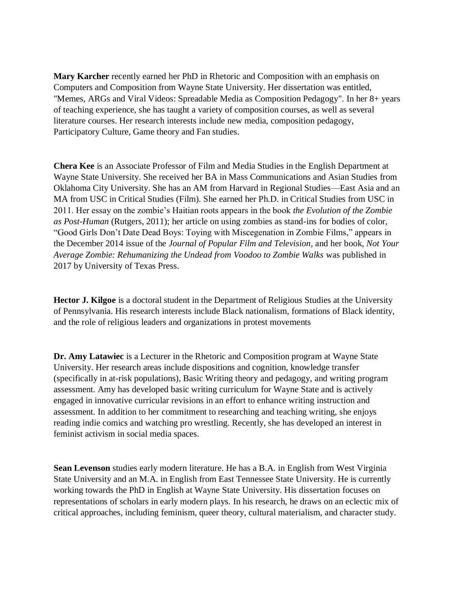**Mary Karcher** recently earned her PhD in Rhetoric and Composition with an emphasis on Computers and Composition from Wayne State University. Her dissertation was entitled, "Memes, ARGs and Viral Videos: Spreadable Media as Composition Pedagogy". In her 8+ years of teaching experience, she has taught a variety of composition courses, as well as several literature courses. Her research interests include new media, composition pedagogy, Participatory Culture, Game theory and Fan studies.

**Chera Kee** is an Associate Professor of Film and Media Studies in the English Department at Wayne State University. She received her BA in Mass Communications and Asian Studies from Oklahoma City University. She has an AM from Harvard in Regional Studies—East Asia and an MA from USC in Critical Studies (Film). She earned her Ph.D. in Critical Studies from USC in 2011. Her essay on the zombie's Haitian roots appears in the book *the Evolution of the Zombie as Post-Human* (Rutgers, 2011); her article on using zombies as stand-ins for bodies of color, "Good Girls Don't Date Dead Boys: Toying with Miscegenation in Zombie Films," appears in the December 2014 issue of the *Journal of Popular Film and Television*, and her book, *Not Your Average Zombie: Rehumanizing the Undead from Voodoo to Zombie Walks* was published in 2017 by University of Texas Press.

**Hector J. Kilgoe** is a doctoral student in the Department of Religious Studies at the University of Pennsylvania. His research interests include Black nationalism, formations of Black identity, and the role of religious leaders and organizations in protest movements

**Dr. Amy Latawiec** is a Lecturer in the Rhetoric and Composition program at Wayne State University. Her research areas include dispositions and cognition, knowledge transfer (specifically in at-risk populations), Basic Writing theory and pedagogy, and writing program assessment. Amy has developed basic writing curriculum for Wayne State and is actively engaged in innovative curricular revisions in an effort to enhance writing instruction and assessment. In addition to her commitment to researching and teaching writing, she enjoys reading indie comics and watching pro wrestling. Recently, she has developed an interest in feminist activism in social media spaces.

**Sean Levenson** studies early modern literature. He has a B.A. in English from West Virginia State University and an M.A. in English from East Tennessee State University. He is currently working towards the PhD in English at Wayne State University. His dissertation focuses on representations of scholars in early modern plays. In his research, he draws on an eclectic mix of critical approaches, including feminism, queer theory, cultural materialism, and character study.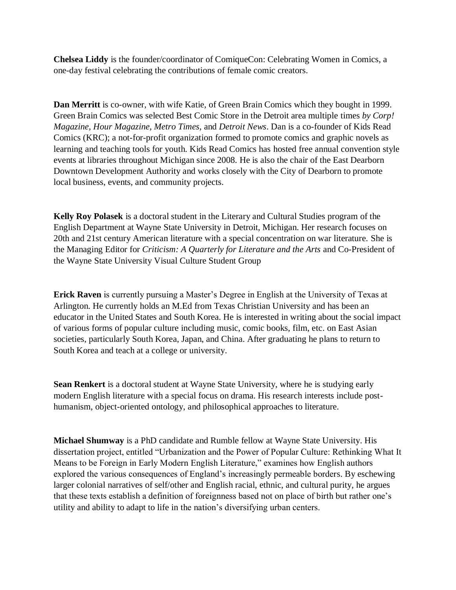**Chelsea Liddy** is the founder/coordinator of ComiqueCon: Celebrating Women in Comics, a one-day festival celebrating the contributions of female comic creators.

**Dan Merritt** is co-owner, with wife Katie, of Green Brain Comics which they bought in 1999. Green Brain Comics was selected Best Comic Store in the Detroit area multiple times *by Corp! Magazine, Hour Magazine, Metro Times,* and *Detroit News*. Dan is a co-founder of Kids Read Comics (KRC); a not-for-profit organization formed to promote comics and graphic novels as learning and teaching tools for youth. Kids Read Comics has hosted free annual convention style events at libraries throughout Michigan since 2008. He is also the chair of the East Dearborn Downtown Development Authority and works closely with the City of Dearborn to promote local business, events, and community projects.

**Kelly Roy Polasek** is a doctoral student in the Literary and Cultural Studies program of the English Department at Wayne State University in Detroit, Michigan. Her research focuses on 20th and 21st century American literature with a special concentration on war literature. She is the Managing Editor for *Criticism: A Quarterly for Literature and the Arts* and Co-President of the Wayne State University Visual Culture Student Group

**Erick Raven** is currently pursuing a Master's Degree in English at the University of Texas at Arlington. He currently holds an M.Ed from Texas Christian University and has been an educator in the United States and South Korea. He is interested in writing about the social impact of various forms of popular culture including music, comic books, film, etc. on East Asian societies, particularly South Korea, Japan, and China. After graduating he plans to return to South Korea and teach at a college or university.

**Sean Renkert** is a doctoral student at Wayne State University, where he is studying early modern English literature with a special focus on drama. His research interests include posthumanism, object-oriented ontology, and philosophical approaches to literature.

**Michael Shumway** is a PhD candidate and Rumble fellow at Wayne State University. His dissertation project, entitled "Urbanization and the Power of Popular Culture: Rethinking What It Means to be Foreign in Early Modern English Literature," examines how English authors explored the various consequences of England's increasingly permeable borders. By eschewing larger colonial narratives of self/other and English racial, ethnic, and cultural purity, he argues that these texts establish a definition of foreignness based not on place of birth but rather one's utility and ability to adapt to life in the nation's diversifying urban centers.